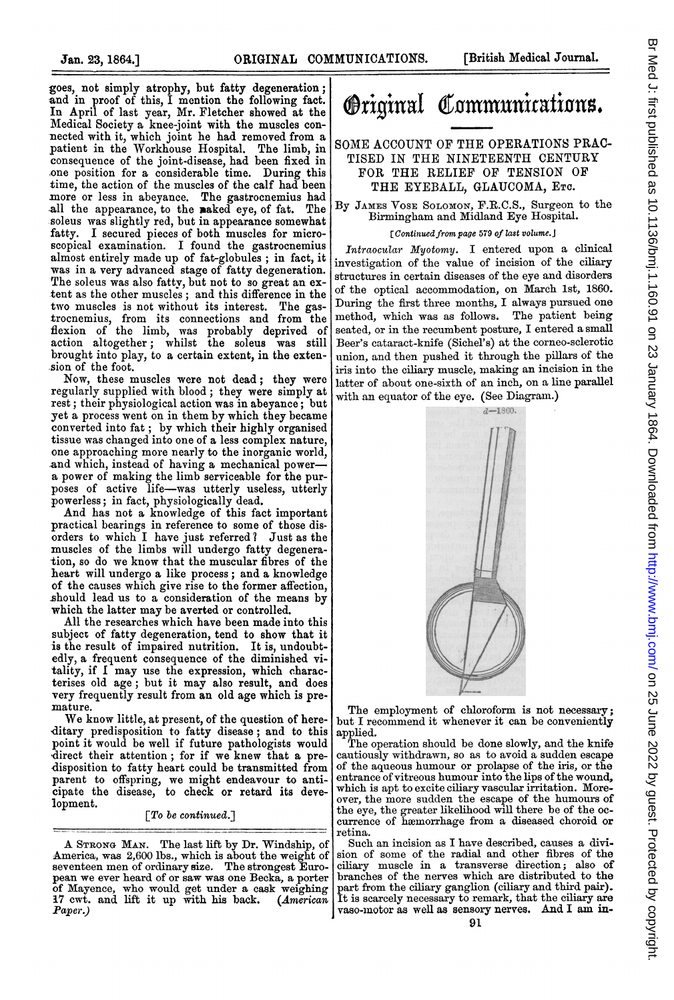goes, not simply atrophy, but fatty degeneration; and in proof of this, I mention the following fact. In April of last year, Mr. Fletcher showed at the Medical Society a knee-joint with the muscles connected with it, which joint he had removed from a patient in the Workhouse Hospital. The limb, in consequence of the joint-disease, had been fixed in one position for a considerable time. During this time, the action of the muscles of the calf had been more or less in abeyance. The gastrocnemius had all the appearance, to the naked eye, of fat. The soleus was slightly red, but in appearance somewhat fatty. I secured pieces of both muscles for microscopical examination. I found the gastrocnemius almost entirely made up of fat-globules ; in fact, it was in a very advanced stage of fatty degeneration. The soleus was also fatty, but not to so great an extent as the other muscles; and this difference in the tvo muscles is not without its interest. The gastrocnemius, from its connections and from the fiexion of the limb, was probably deprived of action altogether; whilst the soleus was still brought into play, to a certain extent, in the extension of the foot.

Now, these muscles were not dead; they were regularly supplied with blood; they were simply at rest; their physiological action was in abeyance; but yet a process went on in them by which they became converted into fat ; by which their highly organised tissue was changed into one of a less complex nature, one approaching more nearly to the inorganic world, and which, instead of having a mechanical powera power of making the limb serviceable for the purposes of active life-was utterly useless, utterly

powerless; in fact, physiologically dead. And has not a knowledge of this fact important practical bearings in reference to some of those disorders to which I have just referred? Just as the muscles of the limbs will undergo fatty degeneration, so do we know that the muscular fibres of the heart will undergo a like process; and a knowledge of the causes which give rise to the former affection, should lead us to a consideration of the means by which the latter may be averted or controlled.

All the researches which have been made into this subject of fatty degeneration, tend to show that it is the result of impaired nutrition. It is, undoubtedly, a frequent consequence of the diminished vitality, if <sup>I</sup> may use the expression, which characterises old age; but it may also result, and does very frequently result from an old age which is premature.

We know little, at present, of the question of hereditary predisposition to fatty disease; and to this point it would be well if future pathologists would 'direct their attention; for if we knew that a predisposition to fatty heart could be transmitted from parent to offspring, we might endeavour to anticipate the disease, to check or retard its development.

[To be continued.]

## **Original Communications.**

## SOME ACCOUNT OF THE OPERATIONS PRAC-TISED IN THE NINETEENTH CENTURY FOR THE RELIEF OF TENSION OF THE EYEBALL, GLAUCOMA, ETC.

By JAMES VOSE SOLOMON, F.R.C.S., Surgeon to the Birmingham and Midland Eye Hospital.

## [Continued from page 579 of last volume.]

Intraocular Myotomy. I entered upon a clinical investigation of the value of incision of the ciliary structures in certain diseases of the eye and disorders of the optical accommodation, on March 1st, 1860. During the first three months, I always pursued one method, which was as follows. The patient being seated, or in the recumbent posture, I entered a small Beer's cataract-knife (Sichel's) at the corneo-selerotic union, and then pushed it through the pillars of the iris into the ciliary muscle, making an incision in the latter of about one-sixth of an inch, on a line parallel with an equator of the eye. (See Diagram.)



The employment of chloroform is not necessary; but I recommend it whenever it can be conveniently

applied. The operation should be done slowly, and the knife cautiously withdrawn, so as to avoid a sudden escape of the aqueous humour or prolapse of the iris, or the entrance of vitreous humour into the lips of the wound, which is apt to excite ciliary vascular irritation. Moreover, the more sudden the escape of the humours of the eye, the greater likelihood will there be of the oc-currence of hanmorrhage from a diseased choroid or retina.

Such an incision as I have described, causes a division of some of the radial and other fibres of the ciliary muscle in a transverse direction; also of branches of the nerves which are distributed to the part from the ciliary ganglion (ciliary and third pair). It is scarcely necessary to remark, that the diliary are vaso-motor as well as sensory nerves. And I am in-

A STRONG MAN. The last lift by Dr. Windship, of America, was 2,600 lbs., which is about the weight of seventeen men of ordinary size. The strongest European we ever heard of or saw was one Becka, a porter of Mayence, who would get under a cask weighing<br>17 cwt. and lift it up with his back. (American Paper.)